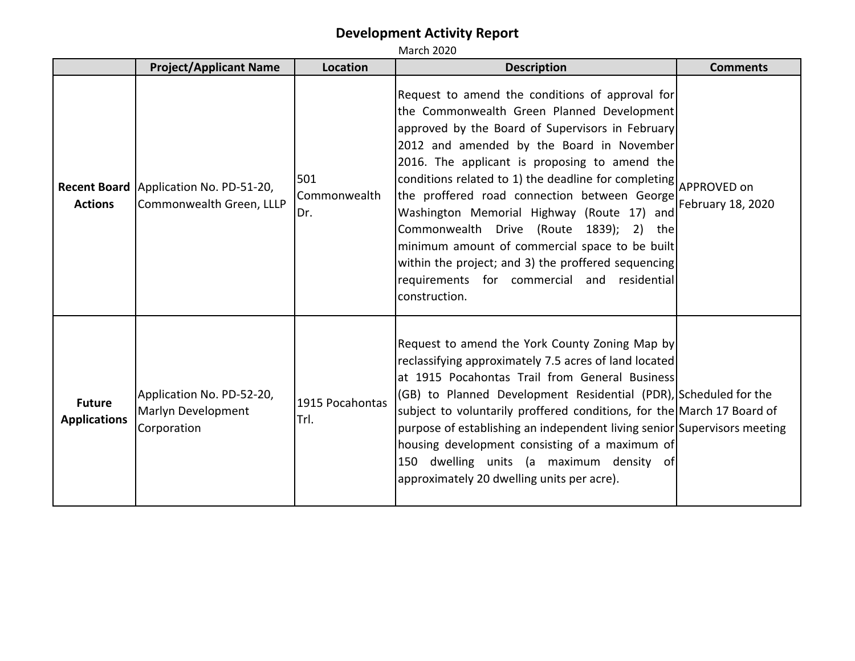|                                      | <b>Project/Applicant Name</b>                                        | Location                   | <b>Description</b>                                                                                                                                                                                                                                                                                                                                                                                                                                                                                                                                                                                                                    | <b>Comments</b>   |
|--------------------------------------|----------------------------------------------------------------------|----------------------------|---------------------------------------------------------------------------------------------------------------------------------------------------------------------------------------------------------------------------------------------------------------------------------------------------------------------------------------------------------------------------------------------------------------------------------------------------------------------------------------------------------------------------------------------------------------------------------------------------------------------------------------|-------------------|
| <b>Actions</b>                       | Recent Board   Application No. PD-51-20,<br>Commonwealth Green, LLLP | 501<br>Commonwealth<br>Dr. | Request to amend the conditions of approval for<br>the Commonwealth Green Planned Development<br>approved by the Board of Supervisors in February<br>2012 and amended by the Board in November<br>2016. The applicant is proposing to amend the<br>conditions related to 1) the deadline for completing APPROVED on<br>the proffered road connection between George<br>Washington Memorial Highway (Route 17) and<br>Commonwealth Drive (Route 1839); 2) the<br>minimum amount of commercial space to be built<br>within the project; and 3) the proffered sequencing<br>requirements for commercial and residential<br>construction. | February 18, 2020 |
| <b>Future</b><br><b>Applications</b> | Application No. PD-52-20,<br>Marlyn Development<br>Corporation       | 1915 Pocahontas<br>Trl.    | Request to amend the York County Zoning Map by<br>reclassifying approximately 7.5 acres of land located<br>at 1915 Pocahontas Trail from General Business<br>(GB) to Planned Development Residential (PDR), Scheduled for the<br>subject to voluntarily proffered conditions, for the March 17 Board of<br>purpose of establishing an independent living senior Supervisors meeting<br>housing development consisting of a maximum of<br>150 dwelling units (a maximum density of<br>approximately 20 dwelling units per acre).                                                                                                       |                   |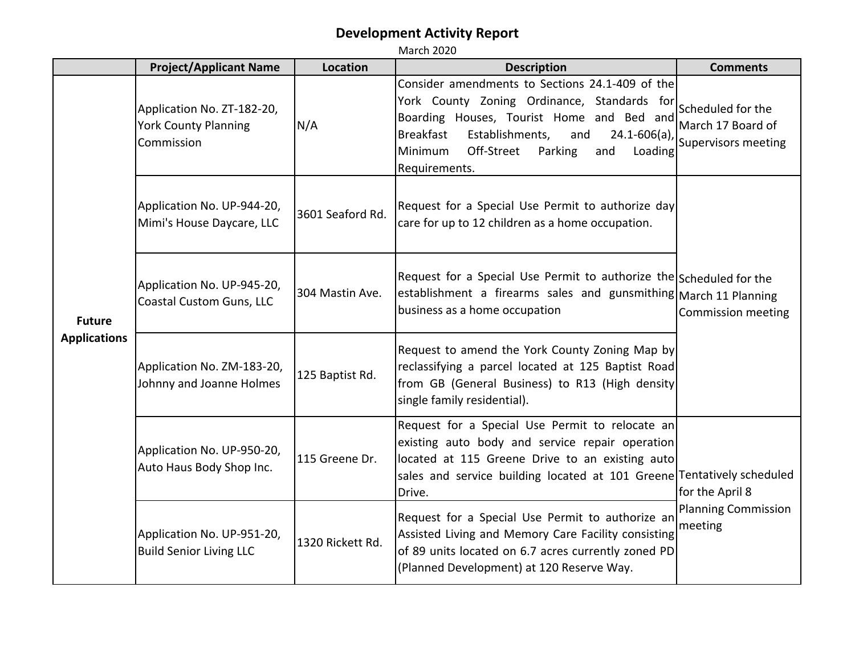|                                      | <b>Project/Applicant Name</b>                                           | <b>Location</b>  | <b>Description</b>                                                                                                                                                                                                                                                                  | <b>Comments</b>                                               |
|--------------------------------------|-------------------------------------------------------------------------|------------------|-------------------------------------------------------------------------------------------------------------------------------------------------------------------------------------------------------------------------------------------------------------------------------------|---------------------------------------------------------------|
| <b>Future</b><br><b>Applications</b> | Application No. ZT-182-20,<br><b>York County Planning</b><br>Commission | N/A              | Consider amendments to Sections 24.1-409 of the<br>York County Zoning Ordinance, Standards for<br>Boarding Houses, Tourist Home and Bed and<br><b>Breakfast</b><br>Establishments,<br>$24.1 - 606(a)$<br>and<br>Off-Street<br>Minimum<br>Parking<br>Loading<br>and<br>Requirements. | Scheduled for the<br>March 17 Board of<br>Supervisors meeting |
|                                      | Application No. UP-944-20,<br>Mimi's House Daycare, LLC                 | 3601 Seaford Rd. | Request for a Special Use Permit to authorize day<br>care for up to 12 children as a home occupation.                                                                                                                                                                               |                                                               |
|                                      | Application No. UP-945-20,<br>Coastal Custom Guns, LLC                  | 304 Mastin Ave.  | Request for a Special Use Permit to authorize the Scheduled for the<br>establishment a firearms sales and gunsmithing March 11 Planning<br>business as a home occupation                                                                                                            | Commission meeting                                            |
|                                      | Application No. ZM-183-20,<br>Johnny and Joanne Holmes                  | 125 Baptist Rd.  | Request to amend the York County Zoning Map by<br>reclassifying a parcel located at 125 Baptist Road<br>from GB (General Business) to R13 (High density<br>single family residential).                                                                                              |                                                               |
|                                      | Application No. UP-950-20,<br>Auto Haus Body Shop Inc.                  | 115 Greene Dr.   | Request for a Special Use Permit to relocate an<br>existing auto body and service repair operation<br>located at 115 Greene Drive to an existing auto<br>sales and service building located at 101 Greene Tentatively scheduled<br>Drive.                                           | for the April 8                                               |
|                                      | Application No. UP-951-20,<br><b>Build Senior Living LLC</b>            | 1320 Rickett Rd. | Request for a Special Use Permit to authorize an<br>Assisted Living and Memory Care Facility consisting<br>of 89 units located on 6.7 acres currently zoned PD<br>(Planned Development) at 120 Reserve Way.                                                                         | <b>Planning Commission</b><br>meeting                         |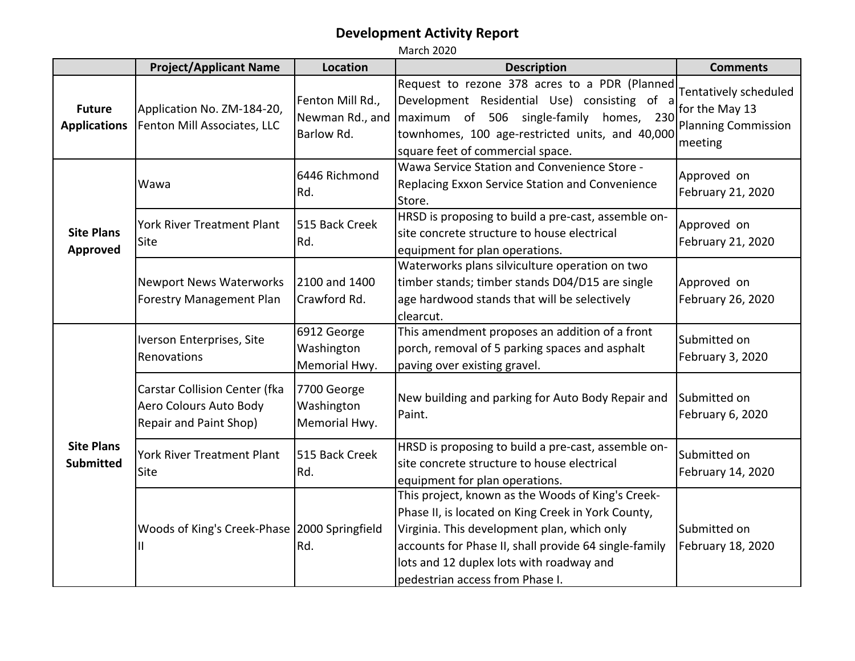|                                       | <b>Project/Applicant Name</b>                                                     | Location                                          | <b>Description</b>                                                                                                                                                                                                                                                                             | <b>Comments</b>                                                                  |
|---------------------------------------|-----------------------------------------------------------------------------------|---------------------------------------------------|------------------------------------------------------------------------------------------------------------------------------------------------------------------------------------------------------------------------------------------------------------------------------------------------|----------------------------------------------------------------------------------|
| <b>Future</b><br><b>Applications</b>  | Application No. ZM-184-20,<br>Fenton Mill Associates, LLC                         | Fenton Mill Rd.,<br>Newman Rd., and<br>Barlow Rd. | Request to rezone 378 acres to a PDR (Planned<br>Development Residential Use) consisting of a<br>maximum of 506 single-family homes, 230<br>townhomes, 100 age-restricted units, and 40,000<br>square feet of commercial space.                                                                | Tentatively scheduled<br>for the May 13<br><b>Planning Commission</b><br>meeting |
| <b>Site Plans</b><br><b>Approved</b>  | Wawa                                                                              | 6446 Richmond<br>Rd.                              | Wawa Service Station and Convenience Store -<br>Replacing Exxon Service Station and Convenience<br>Store.                                                                                                                                                                                      | Approved on<br>February 21, 2020                                                 |
|                                       | York River Treatment Plant<br>Site                                                | 515 Back Creek<br>Rd.                             | HRSD is proposing to build a pre-cast, assemble on-<br>site concrete structure to house electrical<br>equipment for plan operations.                                                                                                                                                           | Approved on<br>February 21, 2020                                                 |
|                                       | <b>Newport News Waterworks</b><br><b>Forestry Management Plan</b>                 | 2100 and 1400<br>Crawford Rd.                     | Waterworks plans silviculture operation on two<br>timber stands; timber stands D04/D15 are single<br>age hardwood stands that will be selectively<br>clearcut.                                                                                                                                 | Approved on<br>February 26, 2020                                                 |
| <b>Site Plans</b><br><b>Submitted</b> | Iverson Enterprises, Site<br>Renovations                                          | 6912 George<br>Washington<br>Memorial Hwy.        | This amendment proposes an addition of a front<br>porch, removal of 5 parking spaces and asphalt<br>paving over existing gravel.                                                                                                                                                               | Submitted on<br>February 3, 2020                                                 |
|                                       | Carstar Collision Center (fka<br>Aero Colours Auto Body<br>Repair and Paint Shop) | 7700 George<br>Washington<br>Memorial Hwy.        | New building and parking for Auto Body Repair and<br>Paint.                                                                                                                                                                                                                                    | Submitted on<br>February 6, 2020                                                 |
|                                       | York River Treatment Plant<br>Site                                                | 515 Back Creek<br>Rd.                             | HRSD is proposing to build a pre-cast, assemble on-<br>site concrete structure to house electrical<br>equipment for plan operations.                                                                                                                                                           | Submitted on<br>February 14, 2020                                                |
|                                       | Woods of King's Creek-Phase   2000 Springfield<br>Ш                               | Rd.                                               | This project, known as the Woods of King's Creek-<br>Phase II, is located on King Creek in York County,<br>Virginia. This development plan, which only<br>accounts for Phase II, shall provide 64 single-family<br>lots and 12 duplex lots with roadway and<br>pedestrian access from Phase I. | Submitted on<br>February 18, 2020                                                |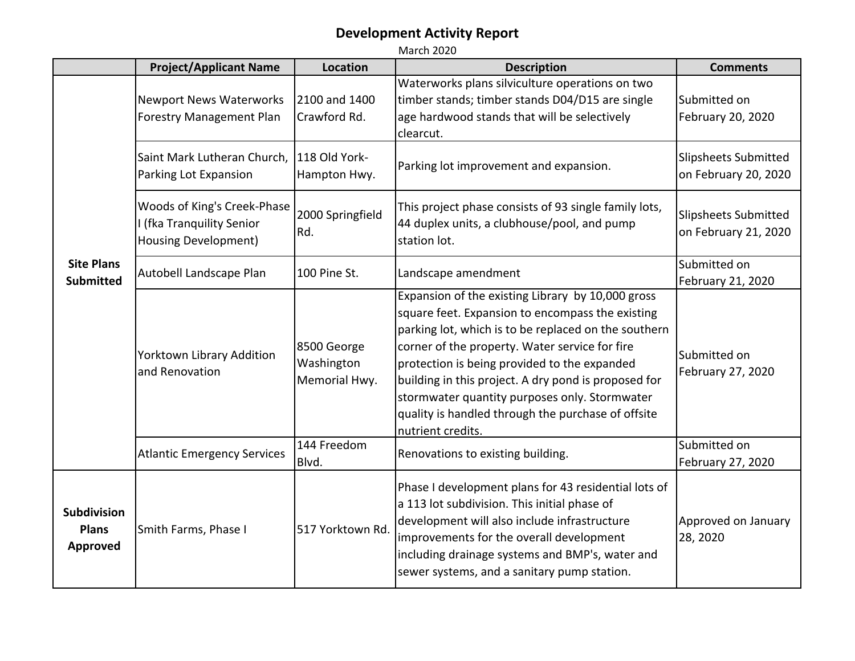|                                                       | <b>Project/Applicant Name</b>                                                    | <b>Location</b>                            | <b>Description</b>                                                                                                                                                                                                                                                                                                                                                                                                                                  | <b>Comments</b>                                     |
|-------------------------------------------------------|----------------------------------------------------------------------------------|--------------------------------------------|-----------------------------------------------------------------------------------------------------------------------------------------------------------------------------------------------------------------------------------------------------------------------------------------------------------------------------------------------------------------------------------------------------------------------------------------------------|-----------------------------------------------------|
| <b>Site Plans</b><br><b>Submitted</b>                 | <b>Newport News Waterworks</b><br><b>Forestry Management Plan</b>                | 2100 and 1400<br>Crawford Rd.              | Waterworks plans silviculture operations on two<br>timber stands; timber stands D04/D15 are single<br>age hardwood stands that will be selectively<br>clearcut.                                                                                                                                                                                                                                                                                     | Submitted on<br>February 20, 2020                   |
|                                                       | Saint Mark Lutheran Church,<br>Parking Lot Expansion                             | 118 Old York-<br>Hampton Hwy.              | Parking lot improvement and expansion.                                                                                                                                                                                                                                                                                                                                                                                                              | <b>Slipsheets Submitted</b><br>on February 20, 2020 |
|                                                       | Woods of King's Creek-Phase<br>I (fka Tranquility Senior<br>Housing Development) | 2000 Springfield<br>Rd.                    | This project phase consists of 93 single family lots,<br>44 duplex units, a clubhouse/pool, and pump<br>station lot.                                                                                                                                                                                                                                                                                                                                | <b>Slipsheets Submitted</b><br>on February 21, 2020 |
|                                                       | Autobell Landscape Plan                                                          | 100 Pine St.                               | Landscape amendment                                                                                                                                                                                                                                                                                                                                                                                                                                 | Submitted on<br>February 21, 2020                   |
|                                                       | Yorktown Library Addition<br>and Renovation                                      | 8500 George<br>Washington<br>Memorial Hwy. | Expansion of the existing Library by 10,000 gross<br>square feet. Expansion to encompass the existing<br>parking lot, which is to be replaced on the southern<br>corner of the property. Water service for fire<br>protection is being provided to the expanded<br>building in this project. A dry pond is proposed for<br>stormwater quantity purposes only. Stormwater<br>quality is handled through the purchase of offsite<br>nutrient credits. | Submitted on<br>February 27, 2020                   |
|                                                       | <b>Atlantic Emergency Services</b>                                               | 144 Freedom<br>Blvd.                       | Renovations to existing building.                                                                                                                                                                                                                                                                                                                                                                                                                   | Submitted on<br>February 27, 2020                   |
| <b>Subdivision</b><br><b>Plans</b><br><b>Approved</b> | Smith Farms, Phase I                                                             | 517 Yorktown Rd.                           | Phase I development plans for 43 residential lots of<br>a 113 lot subdivision. This initial phase of<br>development will also include infrastructure<br>improvements for the overall development<br>including drainage systems and BMP's, water and<br>sewer systems, and a sanitary pump station.                                                                                                                                                  | Approved on January<br>28, 2020                     |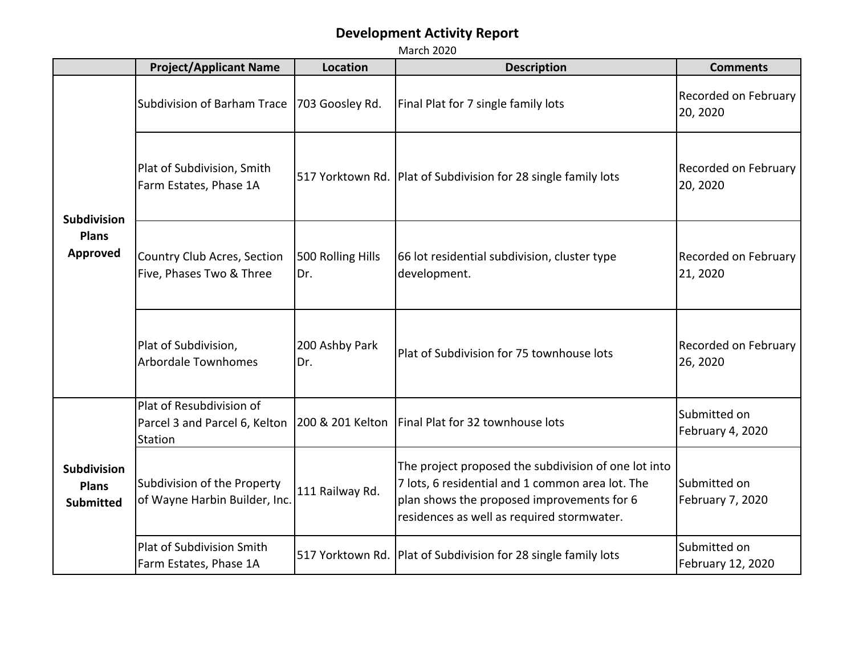|                                                        | <b>Project/Applicant Name</b>                                        | <b>Location</b>          | <b>Description</b>                                                                                                                                                                                   | <b>Comments</b>                   |
|--------------------------------------------------------|----------------------------------------------------------------------|--------------------------|------------------------------------------------------------------------------------------------------------------------------------------------------------------------------------------------------|-----------------------------------|
| <b>Subdivision</b><br><b>Plans</b><br><b>Approved</b>  | Subdivision of Barham Trace                                          | 703 Goosley Rd.          | Final Plat for 7 single family lots                                                                                                                                                                  | Recorded on February<br>20, 2020  |
|                                                        | Plat of Subdivision, Smith<br>Farm Estates, Phase 1A                 |                          | 517 Yorktown Rd.   Plat of Subdivision for 28 single family lots                                                                                                                                     | Recorded on February<br>20, 2020  |
|                                                        | Country Club Acres, Section<br>Five, Phases Two & Three              | 500 Rolling Hills<br>Dr. | 66 lot residential subdivision, cluster type<br>development.                                                                                                                                         | Recorded on February<br>21, 2020  |
|                                                        | Plat of Subdivision,<br><b>Arbordale Townhomes</b>                   | 200 Ashby Park<br>Dr.    | Plat of Subdivision for 75 townhouse lots                                                                                                                                                            | Recorded on February<br>26, 2020  |
| <b>Subdivision</b><br><b>Plans</b><br><b>Submitted</b> | Plat of Resubdivision of<br>Parcel 3 and Parcel 6, Kelton<br>Station |                          | 200 & 201 Kelton   Final Plat for 32 townhouse lots                                                                                                                                                  | Submitted on<br>February 4, 2020  |
|                                                        | Subdivision of the Property<br>of Wayne Harbin Builder, Inc.         | 111 Railway Rd.          | The project proposed the subdivision of one lot into<br>7 lots, 6 residential and 1 common area lot. The<br>plan shows the proposed improvements for 6<br>residences as well as required stormwater. | Submitted on<br>February 7, 2020  |
|                                                        | <b>Plat of Subdivision Smith</b><br>Farm Estates, Phase 1A           |                          | 517 Yorktown Rd. Plat of Subdivision for 28 single family lots                                                                                                                                       | Submitted on<br>February 12, 2020 |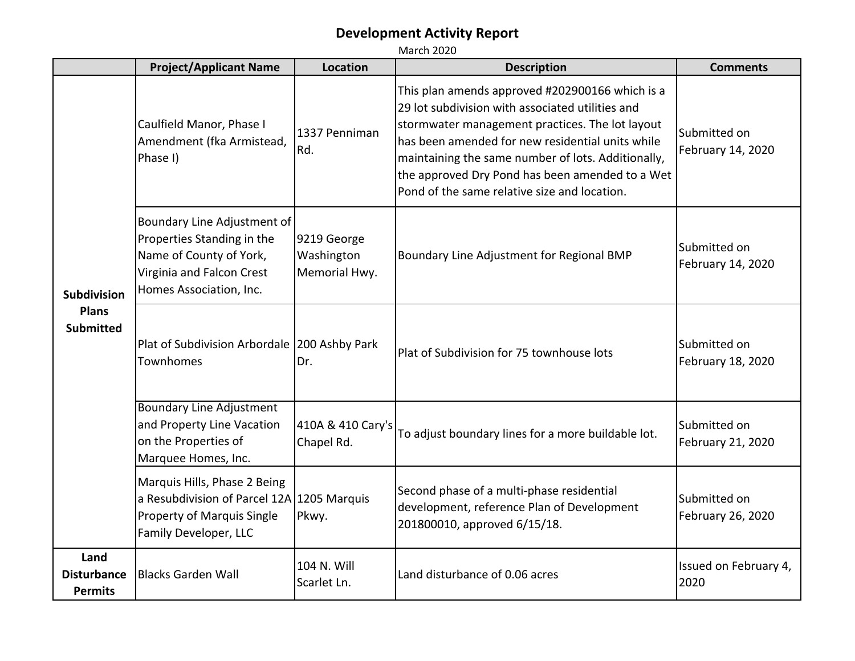|                                                        | <b>Project/Applicant Name</b>                                                                                                                | <b>Location</b>                            | <b>Description</b>                                                                                                                                                                                                                                                                                                                                                  | <b>Comments</b>                   |
|--------------------------------------------------------|----------------------------------------------------------------------------------------------------------------------------------------------|--------------------------------------------|---------------------------------------------------------------------------------------------------------------------------------------------------------------------------------------------------------------------------------------------------------------------------------------------------------------------------------------------------------------------|-----------------------------------|
| <b>Subdivision</b><br><b>Plans</b><br><b>Submitted</b> | Caulfield Manor, Phase I<br>Amendment (fka Armistead,<br>Phase I)                                                                            | 1337 Penniman<br>Rd.                       | This plan amends approved #202900166 which is a<br>29 lot subdivision with associated utilities and<br>stormwater management practices. The lot layout<br>has been amended for new residential units while<br>maintaining the same number of lots. Additionally,<br>the approved Dry Pond has been amended to a Wet<br>Pond of the same relative size and location. | Submitted on<br>February 14, 2020 |
|                                                        | Boundary Line Adjustment of<br>Properties Standing in the<br>Name of County of York,<br>Virginia and Falcon Crest<br>Homes Association, Inc. | 9219 George<br>Washington<br>Memorial Hwy. | Boundary Line Adjustment for Regional BMP                                                                                                                                                                                                                                                                                                                           | Submitted on<br>February 14, 2020 |
|                                                        | Plat of Subdivision Arbordale   200 Ashby Park<br><b>Townhomes</b>                                                                           | Dr.                                        | Plat of Subdivision for 75 townhouse lots                                                                                                                                                                                                                                                                                                                           | Submitted on<br>February 18, 2020 |
|                                                        | <b>Boundary Line Adjustment</b><br>and Property Line Vacation<br>on the Properties of<br>Marquee Homes, Inc.                                 | 410A & 410 Cary's<br>Chapel Rd.            | To adjust boundary lines for a more buildable lot.                                                                                                                                                                                                                                                                                                                  | Submitted on<br>February 21, 2020 |
|                                                        | Marquis Hills, Phase 2 Being<br>a Resubdivision of Parcel 12A 1205 Marquis<br><b>Property of Marquis Single</b><br>Family Developer, LLC     | Pkwy.                                      | Second phase of a multi-phase residential<br>development, reference Plan of Development<br>201800010, approved 6/15/18.                                                                                                                                                                                                                                             | Submitted on<br>February 26, 2020 |
| Land<br><b>Disturbance</b><br><b>Permits</b>           | <b>Blacks Garden Wall</b>                                                                                                                    | 104 N. Will<br>Scarlet Ln.                 | Land disturbance of 0.06 acres                                                                                                                                                                                                                                                                                                                                      | Issued on February 4,<br>2020     |